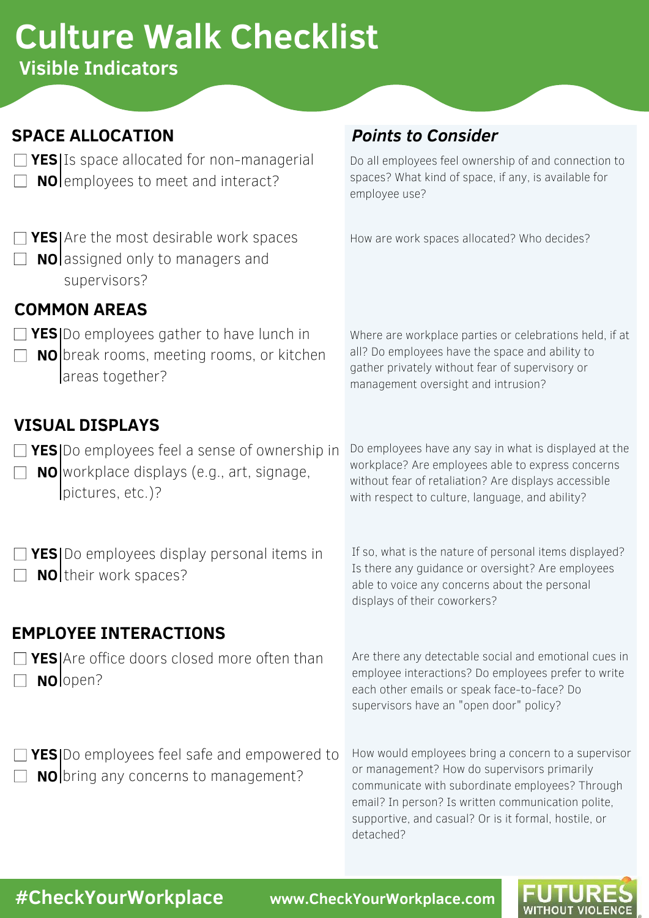# **Culture Walk Checklist**

**Visible Indicators**

# **SPACE ALLOCATION**

- **YES** Is space allocated for non-managerial
- **NO** employees to meet and interact?

# **YES** Are the most desirable work spaces

**NO** assigned only to managers and supervisors?

# *Points to Consider*

Do all employees feel ownership of and connection to spaces? What kind of space, if any, is available for employee use?

How are work spaces allocated? Who decides?

# **COMMON AREAS**

- **YES** Do employees gather to have lunch in
- **NO** break rooms, meeting rooms, or kitchen areas together?

Where are workplace parties or celebrations held, if at all? Do employees have the space and ability to gather privately without fear of supervisory or management oversight and intrusion?

# **VISUAL DISPLAYS**

- **YES** Do employees feel a sense of ownership in
- **NO** workplace displays (e.g., art, signage, pictures, etc.)?

**YES** Do employees display personal items in

**NO** their work spaces?

Do employees have any say in what is displayed at the workplace? Are employees able to express concerns without fear of retaliation? Are displays accessible with respect to culture, language, and ability?

If so, what is the nature of personal items displayed? Is there any guidance or oversight? Are employees able to voice any concerns about the personal displays of their coworkers?

### **EMPLOYEE INTERACTIONS**

**YES** Are office doors closed more often than **NO** lopen?

Are there any detectable social and emotional cues in employee interactions? Do employees prefer to write each other emails or speak face-to-face? Do supervisors have an "open door" policy?

- **YES** Do employees feel safe and empowered to **NO** bring any concerns to management?
- How would employees bring a concern to a supervisor or management? How do supervisors primarily communicate with subordinate employees? Through email? In person? Is written communication polite, supportive, and casual? Or is it formal, hostile, or detached?

**#CheckYourWorkplace www.CheckYourWorkplace.com**